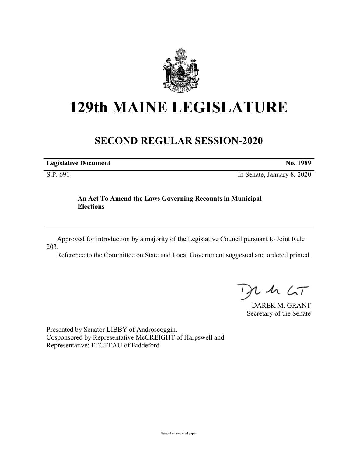

## **129th MAINE LEGISLATURE**

## **SECOND REGULAR SESSION-2020**

**Legislative Document No. 1989**

S.P. 691 In Senate, January 8, 2020

## **An Act To Amend the Laws Governing Recounts in Municipal Elections**

Approved for introduction by a majority of the Legislative Council pursuant to Joint Rule 203.

Reference to the Committee on State and Local Government suggested and ordered printed.

 $125$ 

DAREK M. GRANT Secretary of the Senate

Presented by Senator LIBBY of Androscoggin. Cosponsored by Representative McCREIGHT of Harpswell and Representative: FECTEAU of Biddeford.